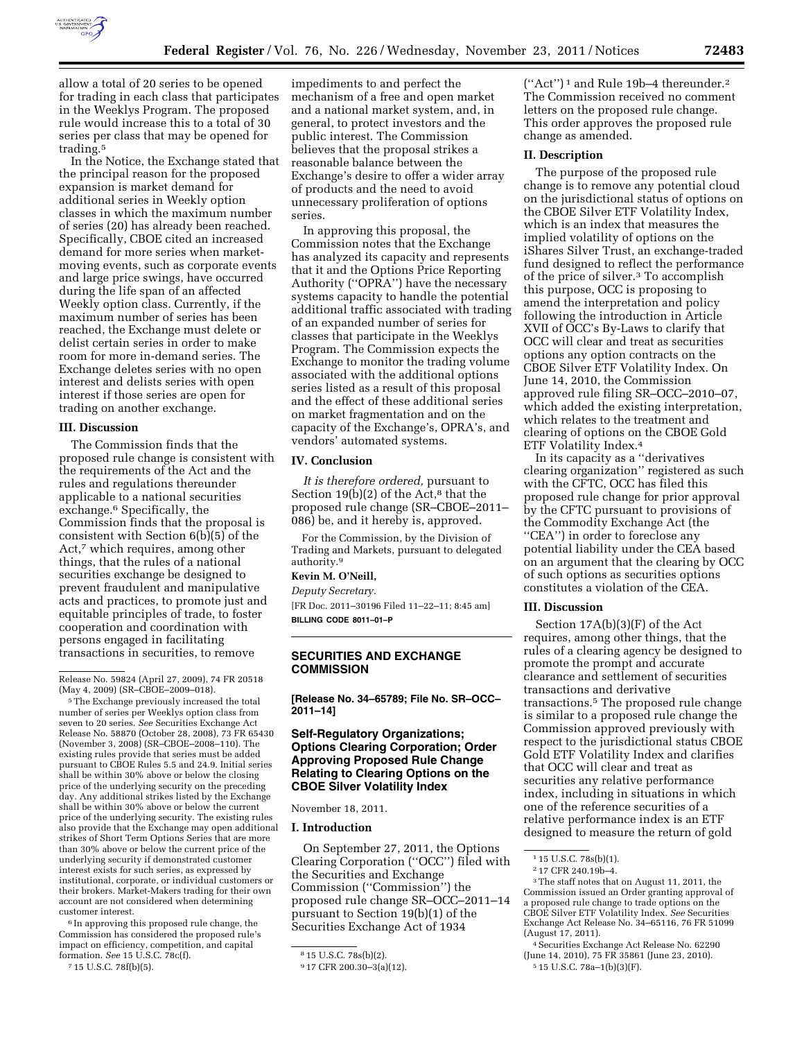

allow a total of 20 series to be opened for trading in each class that participates in the Weeklys Program. The proposed rule would increase this to a total of 30 series per class that may be opened for trading.<sup>5</sup>

In the Notice, the Exchange stated that the principal reason for the proposed expansion is market demand for additional series in Weekly option classes in which the maximum number of series (20) has already been reached. Specifically, CBOE cited an increased demand for more series when marketmoving events, such as corporate events and large price swings, have occurred during the life span of an affected Weekly option class. Currently, if the maximum number of series has been reached, the Exchange must delete or delist certain series in order to make room for more in-demand series. The Exchange deletes series with no open interest and delists series with open interest if those series are open for trading on another exchange.

## **III. Discussion**

The Commission finds that the proposed rule change is consistent with the requirements of the Act and the rules and regulations thereunder applicable to a national securities exchange.6 Specifically, the Commission finds that the proposal is consistent with Section 6(b)(5) of the Act,<sup>7</sup> which requires, among other things, that the rules of a national securities exchange be designed to prevent fraudulent and manipulative acts and practices, to promote just and equitable principles of trade, to foster cooperation and coordination with persons engaged in facilitating transactions in securities, to remove

5The Exchange previously increased the total number of series per Weeklys option class from seven to 20 series. *See* Securities Exchange Act Release No. 58870 (October 28, 2008), 73 FR 65430 (November 3, 2008) (SR–CBOE–2008–110). The existing rules provide that series must be added pursuant to CBOE Rules 5.5 and 24.9. Initial series shall be within 30% above or below the closing price of the underlying security on the preceding day. Any additional strikes listed by the Exchange shall be within 30% above or below the current price of the underlying security. The existing rules also provide that the Exchange may open additional strikes of Short Term Options Series that are more than 30% above or below the current price of the underlying security if demonstrated customer interest exists for such series, as expressed by institutional, corporate, or individual customers or their brokers. Market-Makers trading for their own account are not considered when determining customer interest.

6 In approving this proposed rule change, the Commission has considered the proposed rule's impact on efficiency, competition, and capital formation. *See* 15 U.S.C. 78c(f).

7 15 U.S.C. 78f(b)(5).

impediments to and perfect the mechanism of a free and open market and a national market system, and, in general, to protect investors and the public interest. The Commission believes that the proposal strikes a reasonable balance between the Exchange's desire to offer a wider array of products and the need to avoid unnecessary proliferation of options series.

In approving this proposal, the Commission notes that the Exchange has analyzed its capacity and represents that it and the Options Price Reporting Authority (''OPRA'') have the necessary systems capacity to handle the potential additional traffic associated with trading of an expanded number of series for classes that participate in the Weeklys Program. The Commission expects the Exchange to monitor the trading volume associated with the additional options series listed as a result of this proposal and the effect of these additional series on market fragmentation and on the capacity of the Exchange's, OPRA's, and vendors' automated systems.

## **IV. Conclusion**

*It is therefore ordered,* pursuant to Section 19(b)(2) of the Act, $^8$  that the proposed rule change (SR–CBOE–2011– 086) be, and it hereby is, approved.

For the Commission, by the Division of Trading and Markets, pursuant to delegated authority.9

# **Kevin M. O'Neill,**

*Deputy Secretary.*  [FR Doc. 2011–30196 Filed 11–22–11; 8:45 am]

**BILLING CODE 8011–01–P** 

# **SECURITIES AND EXCHANGE COMMISSION**

**[Release No. 34–65789; File No. SR–OCC– 2011–14]** 

# **Self-Regulatory Organizations; Options Clearing Corporation; Order Approving Proposed Rule Change Relating to Clearing Options on the CBOE Silver Volatility Index**

November 18, 2011.

#### **I. Introduction**

On September 27, 2011, the Options Clearing Corporation (''OCC'') filed with the Securities and Exchange Commission (''Commission'') the proposed rule change SR–OCC–2011–14 pursuant to Section 19(b)(1) of the Securities Exchange Act of 1934

(''Act'') 1 and Rule 19b–4 thereunder.2 The Commission received no comment letters on the proposed rule change. This order approves the proposed rule change as amended.

#### **II. Description**

The purpose of the proposed rule change is to remove any potential cloud on the jurisdictional status of options on the CBOE Silver ETF Volatility Index, which is an index that measures the implied volatility of options on the iShares Silver Trust, an exchange-traded fund designed to reflect the performance of the price of silver.3 To accomplish this purpose, OCC is proposing to amend the interpretation and policy following the introduction in Article XVII of OCC's By-Laws to clarify that OCC will clear and treat as securities options any option contracts on the CBOE Silver ETF Volatility Index. On June 14, 2010, the Commission approved rule filing SR–OCC–2010–07, which added the existing interpretation, which relates to the treatment and clearing of options on the CBOE Gold ETF Volatility Index.4

In its capacity as a ''derivatives clearing organization'' registered as such with the CFTC, OCC has filed this proposed rule change for prior approval by the CFTC pursuant to provisions of the Commodity Exchange Act (the ''CEA'') in order to foreclose any potential liability under the CEA based on an argument that the clearing by OCC of such options as securities options constitutes a violation of the CEA.

## **III. Discussion**

Section 17A(b)(3)(F) of the Act requires, among other things, that the rules of a clearing agency be designed to promote the prompt and accurate clearance and settlement of securities transactions and derivative transactions.5 The proposed rule change is similar to a proposed rule change the Commission approved previously with respect to the jurisdictional status CBOE Gold ETF Volatility Index and clarifies that OCC will clear and treat as securities any relative performance index, including in situations in which one of the reference securities of a relative performance index is an ETF designed to measure the return of gold

Release No. 59824 (April 27, 2009), 74 FR 20518 (May 4, 2009) (SR–CBOE–2009–018).

<sup>8</sup> 15 U.S.C. 78s(b)(2).

<sup>9</sup> 17 CFR 200.30–3(a)(12).

 $115$  U.S.C.  $78s(b)(1)$ .

<sup>2</sup> 17 CFR 240.19b–4.

<sup>3</sup>The staff notes that on August 11, 2011, the Commission issued an Order granting approval of a proposed rule change to trade options on the CBOE Silver ETF Volatility Index. *See* Securities Exchange Act Release No. 34–65116, 76 FR 51099 (August 17, 2011).

<sup>4</sup>Securities Exchange Act Release No. 62290 (June 14, 2010), 75 FR 35861 (June 23, 2010). 5 15 U.S.C. 78a–1(b)(3)(F).